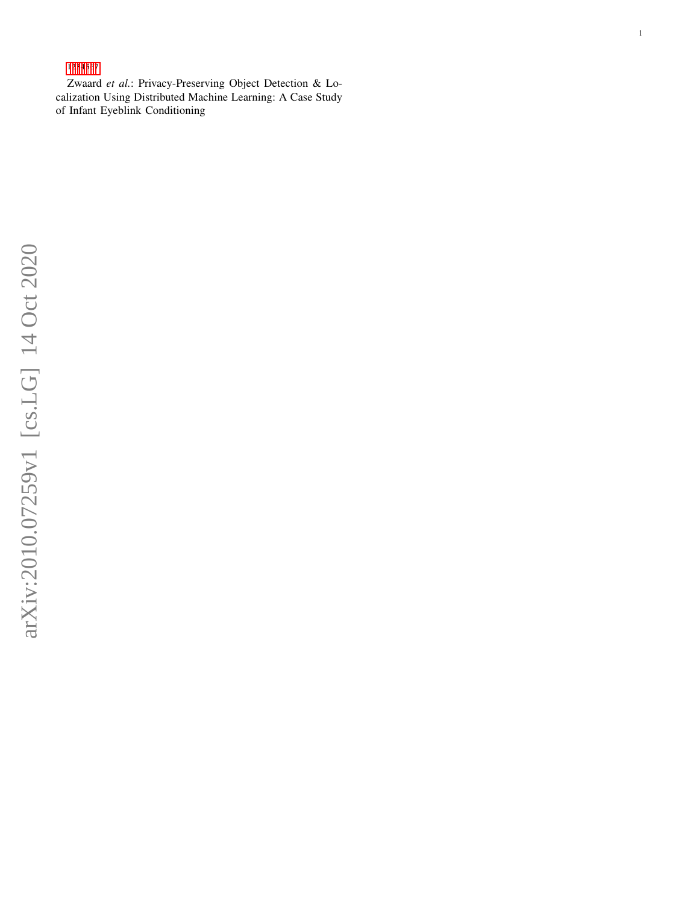# 1234567

Zwaard *et al.*: Privacy-Preserving Object Detection & Localization Using Distributed Machine Learning: A Case Study of Infant Eyeblink Conditioning

1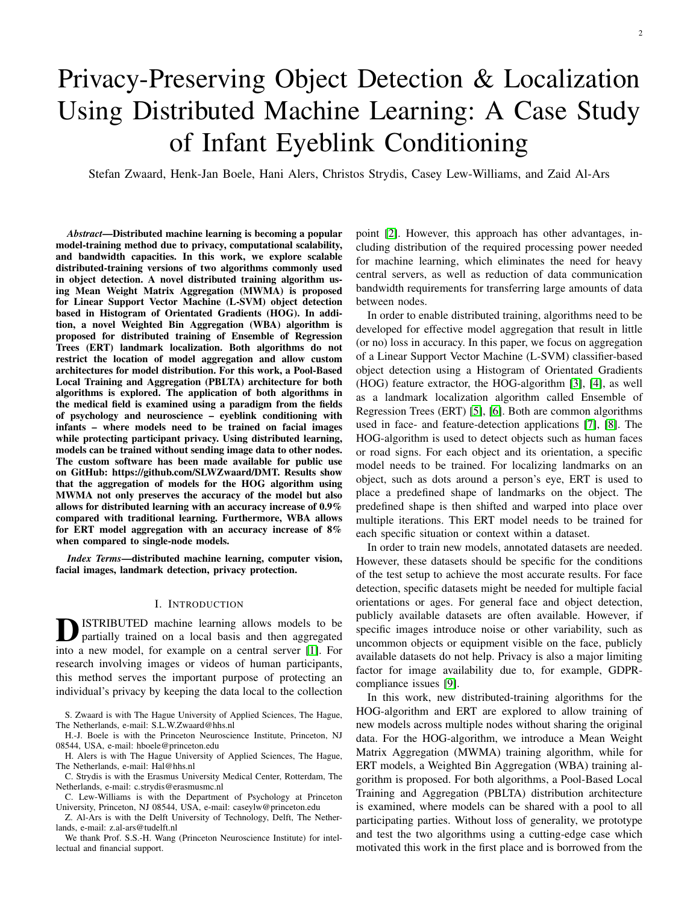# Privacy-Preserving Object Detection & Localization Using Distributed Machine Learning: A Case Study of Infant Eyeblink Conditioning

Stefan Zwaard, Henk-Jan Boele, Hani Alers, Christos Strydis, Casey Lew-Williams, and Zaid Al-Ars

*Abstract*—Distributed machine learning is becoming a popular model-training method due to privacy, computational scalability, and bandwidth capacities. In this work, we explore scalable distributed-training versions of two algorithms commonly used in object detection. A novel distributed training algorithm using Mean Weight Matrix Aggregation (MWMA) is proposed for Linear Support Vector Machine (L-SVM) object detection based in Histogram of Orientated Gradients (HOG). In addition, a novel Weighted Bin Aggregation (WBA) algorithm is proposed for distributed training of Ensemble of Regression Trees (ERT) landmark localization. Both algorithms do not restrict the location of model aggregation and allow custom architectures for model distribution. For this work, a Pool-Based Local Training and Aggregation (PBLTA) architecture for both algorithms is explored. The application of both algorithms in the medical field is examined using a paradigm from the fields of psychology and neuroscience – eyeblink conditioning with infants – where models need to be trained on facial images while protecting participant privacy. Using distributed learning, models can be trained without sending image data to other nodes. The custom software has been made available for public use on GitHub: https://github.com/SLWZwaard/DMT. Results show that the aggregation of models for the HOG algorithm using MWMA not only preserves the accuracy of the model but also allows for distributed learning with an accuracy increase of 0.9% compared with traditional learning. Furthermore, WBA allows for ERT model aggregation with an accuracy increase of 8% when compared to single-node models.

*Index Terms*—distributed machine learning, computer vision, facial images, landmark detection, privacy protection.

#### I. INTRODUCTION

**D** ISTRIBUTED machine learning allows models to be partially trained on a local basis and then aggregated partially trained on a local basis and then aggregated into a new model, for example on a central server [\[1\]](#page-11-0). For research involving images or videos of human participants, this method serves the important purpose of protecting an individual's privacy by keeping the data local to the collection

S. Zwaard is with The Hague University of Applied Sciences, The Hague, The Netherlands, e-mail: S.L.W.Zwaard@hhs.nl

H.-J. Boele is with the Princeton Neuroscience Institute, Princeton, NJ 08544, USA, e-mail: hboele@princeton.edu

H. Alers is with The Hague University of Applied Sciences, The Hague, The Netherlands, e-mail: Hal@hhs.nl

C. Strydis is with the Erasmus University Medical Center, Rotterdam, The Netherlands, e-mail: c.strydis@erasmusmc.nl

C. Lew-Williams is with the Department of Psychology at Princeton University, Princeton, NJ 08544, USA, e-mail: caseylw@princeton.edu

Z. Al-Ars is with the Delft University of Technology, Delft, The Netherlands, e-mail: z.al-ars@tudelft.nl

We thank Prof. S.S.-H. Wang (Princeton Neuroscience Institute) for intellectual and financial support.

point [\[2\]](#page-11-1). However, this approach has other advantages, including distribution of the required processing power needed for machine learning, which eliminates the need for heavy central servers, as well as reduction of data communication bandwidth requirements for transferring large amounts of data between nodes.

In order to enable distributed training, algorithms need to be developed for effective model aggregation that result in little (or no) loss in accuracy. In this paper, we focus on aggregation of a Linear Support Vector Machine (L-SVM) classifier-based object detection using a Histogram of Orientated Gradients (HOG) feature extractor, the HOG-algorithm [\[3\]](#page-11-2), [\[4\]](#page-11-3), as well as a landmark localization algorithm called Ensemble of Regression Trees (ERT) [\[5\]](#page-11-4), [\[6\]](#page-11-5). Both are common algorithms used in face- and feature-detection applications [\[7\]](#page-11-6), [\[8\]](#page-11-7). The HOG-algorithm is used to detect objects such as human faces or road signs. For each object and its orientation, a specific model needs to be trained. For localizing landmarks on an object, such as dots around a person's eye, ERT is used to place a predefined shape of landmarks on the object. The predefined shape is then shifted and warped into place over multiple iterations. This ERT model needs to be trained for each specific situation or context within a dataset.

In order to train new models, annotated datasets are needed. However, these datasets should be specific for the conditions of the test setup to achieve the most accurate results. For face detection, specific datasets might be needed for multiple facial orientations or ages. For general face and object detection, publicly available datasets are often available. However, if specific images introduce noise or other variability, such as uncommon objects or equipment visible on the face, publicly available datasets do not help. Privacy is also a major limiting factor for image availability due to, for example, GDPRcompliance issues [\[9\]](#page-11-8).

In this work, new distributed-training algorithms for the HOG-algorithm and ERT are explored to allow training of new models across multiple nodes without sharing the original data. For the HOG-algorithm, we introduce a Mean Weight Matrix Aggregation (MWMA) training algorithm, while for ERT models, a Weighted Bin Aggregation (WBA) training algorithm is proposed. For both algorithms, a Pool-Based Local Training and Aggregation (PBLTA) distribution architecture is examined, where models can be shared with a pool to all participating parties. Without loss of generality, we prototype and test the two algorithms using a cutting-edge case which motivated this work in the first place and is borrowed from the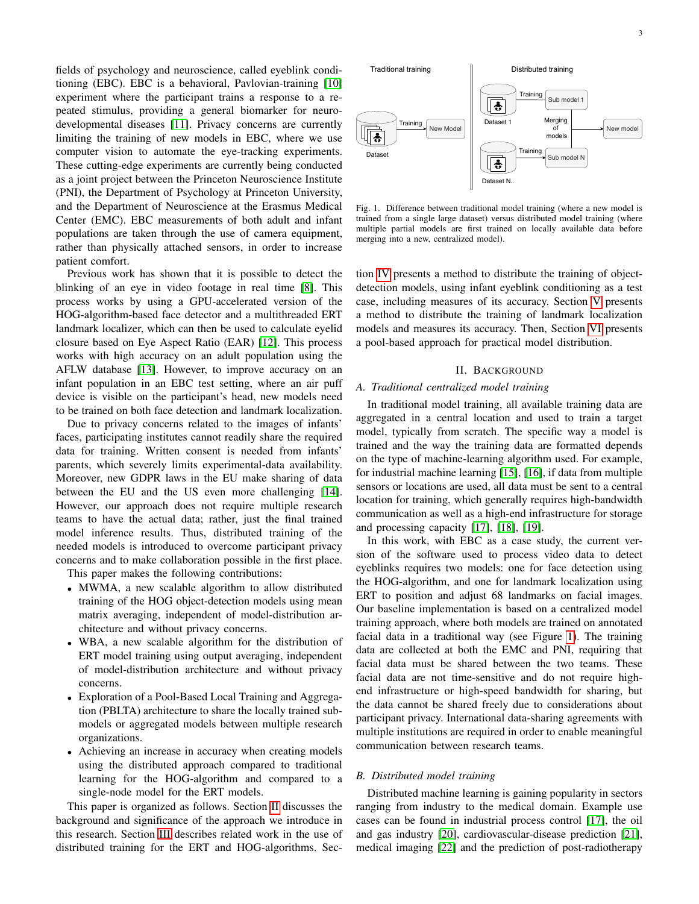fields of psychology and neuroscience, called eyeblink conditioning (EBC). EBC is a behavioral, Pavlovian-training [\[10\]](#page-11-9) experiment where the participant trains a response to a repeated stimulus, providing a general biomarker for neurodevelopmental diseases [\[11\]](#page-11-10). Privacy concerns are currently limiting the training of new models in EBC, where we use computer vision to automate the eye-tracking experiments. These cutting-edge experiments are currently being conducted as a joint project between the Princeton Neuroscience Institute (PNI), the Department of Psychology at Princeton University, and the Department of Neuroscience at the Erasmus Medical Center (EMC). EBC measurements of both adult and infant populations are taken through the use of camera equipment, rather than physically attached sensors, in order to increase patient comfort.

Previous work has shown that it is possible to detect the blinking of an eye in video footage in real time [\[8\]](#page-11-7). This process works by using a GPU-accelerated version of the HOG-algorithm-based face detector and a multithreaded ERT landmark localizer, which can then be used to calculate eyelid closure based on Eye Aspect Ratio (EAR) [\[12\]](#page-11-11). This process works with high accuracy on an adult population using the AFLW database [\[13\]](#page-11-12). However, to improve accuracy on an infant population in an EBC test setting, where an air puff device is visible on the participant's head, new models need to be trained on both face detection and landmark localization.

Due to privacy concerns related to the images of infants' faces, participating institutes cannot readily share the required data for training. Written consent is needed from infants' parents, which severely limits experimental-data availability. Moreover, new GDPR laws in the EU make sharing of data between the EU and the US even more challenging [\[14\]](#page-11-13). However, our approach does not require multiple research teams to have the actual data; rather, just the final trained model inference results. Thus, distributed training of the needed models is introduced to overcome participant privacy concerns and to make collaboration possible in the first place.

This paper makes the following contributions:

- MWMA, a new scalable algorithm to allow distributed training of the HOG object-detection models using mean matrix averaging, independent of model-distribution architecture and without privacy concerns.
- WBA, a new scalable algorithm for the distribution of ERT model training using output averaging, independent of model-distribution architecture and without privacy concerns.
- Exploration of a Pool-Based Local Training and Aggregation (PBLTA) architecture to share the locally trained submodels or aggregated models between multiple research organizations.
- Achieving an increase in accuracy when creating models using the distributed approach compared to traditional learning for the HOG-algorithm and compared to a single-node model for the ERT models.

This paper is organized as follows. Section [II](#page-2-0) discusses the background and significance of the approach we introduce in this research. Section [III](#page-3-0) describes related work in the use of distributed training for the ERT and HOG-algorithms. Sec-



<span id="page-2-1"></span>Fig. 1. Difference between traditional model training (where a new model is trained from a single large dataset) versus distributed model training (where multiple partial models are first trained on locally available data before merging into a new, centralized model).

tion [IV](#page-4-0) presents a method to distribute the training of objectdetection models, using infant eyeblink conditioning as a test case, including measures of its accuracy. Section [V](#page-7-0) presents a method to distribute the training of landmark localization models and measures its accuracy. Then, Section [VI](#page-10-0) presents a pool-based approach for practical model distribution.

# II. BACKGROUND

#### <span id="page-2-0"></span>*A. Traditional centralized model training*

In traditional model training, all available training data are aggregated in a central location and used to train a target model, typically from scratch. The specific way a model is trained and the way the training data are formatted depends on the type of machine-learning algorithm used. For example, for industrial machine learning [\[15\]](#page-11-14), [\[16\]](#page-11-15), if data from multiple sensors or locations are used, all data must be sent to a central location for training, which generally requires high-bandwidth communication as well as a high-end infrastructure for storage and processing capacity [\[17\]](#page-11-16), [\[18\]](#page-11-17), [\[19\]](#page-12-0).

In this work, with EBC as a case study, the current version of the software used to process video data to detect eyeblinks requires two models: one for face detection using the HOG-algorithm, and one for landmark localization using ERT to position and adjust 68 landmarks on facial images. Our baseline implementation is based on a centralized model training approach, where both models are trained on annotated facial data in a traditional way (see Figure [1\)](#page-2-1). The training data are collected at both the EMC and PNI, requiring that facial data must be shared between the two teams. These facial data are not time-sensitive and do not require highend infrastructure or high-speed bandwidth for sharing, but the data cannot be shared freely due to considerations about participant privacy. International data-sharing agreements with multiple institutions are required in order to enable meaningful communication between research teams.

#### *B. Distributed model training*

Distributed machine learning is gaining popularity in sectors ranging from industry to the medical domain. Example use cases can be found in industrial process control [\[17\]](#page-11-16), the oil and gas industry [\[20\]](#page-12-1), cardiovascular-disease prediction [\[21\]](#page-12-2), medical imaging [\[22\]](#page-12-3) and the prediction of post-radiotherapy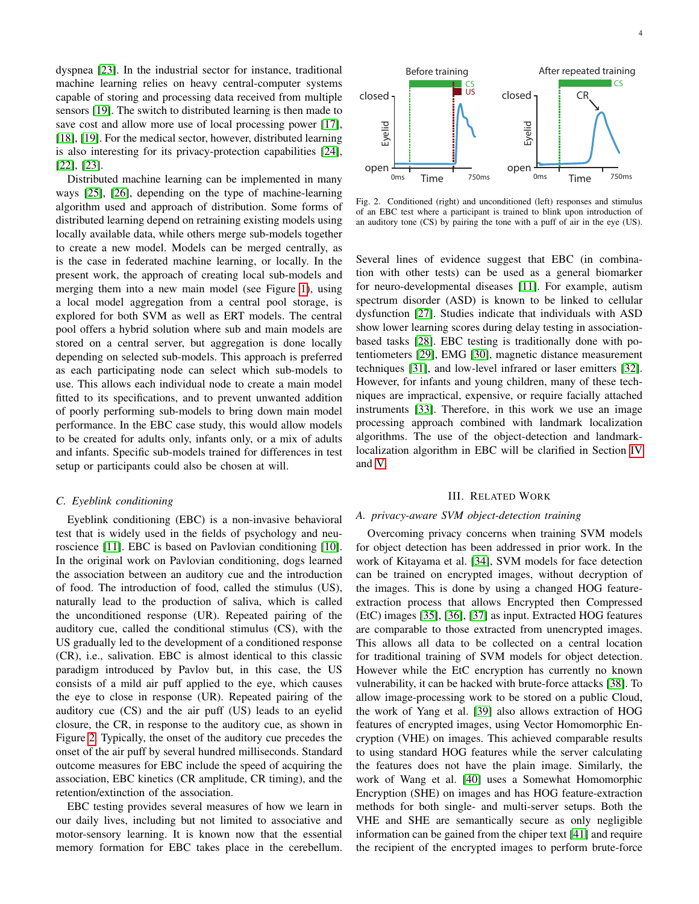dyspnea [\[23\]](#page-12-4). In the industrial sector for instance, traditional machine learning relies on heavy central-computer systems capable of storing and processing data received from multiple sensors [\[19\]](#page-12-0). The switch to distributed learning is then made to save cost and allow more use of local processing power [\[17\]](#page-11-16), [\[18\]](#page-11-17), [\[19\]](#page-12-0). For the medical sector, however, distributed learning is also interesting for its privacy-protection capabilities [\[24\]](#page-12-5), [\[22\]](#page-12-3), [\[23\]](#page-12-4).

Distributed machine learning can be implemented in many ways [\[25\]](#page-12-6), [\[26\]](#page-12-7), depending on the type of machine-learning algorithm used and approach of distribution. Some forms of distributed learning depend on retraining existing models using locally available data, while others merge sub-models together to create a new model. Models can be merged centrally, as is the case in federated machine learning, or locally. In the present work, the approach of creating local sub-models and merging them into a new main model (see Figure [1\)](#page-2-1), using a local model aggregation from a central pool storage, is explored for both SVM as well as ERT models. The central pool offers a hybrid solution where sub and main models are stored on a central server, but aggregation is done locally depending on selected sub-models. This approach is preferred as each participating node can select which sub-models to use. This allows each individual node to create a main model fitted to its specifications, and to prevent unwanted addition of poorly performing sub-models to bring down main model performance. In the EBC case study, this would allow models to be created for adults only, infants only, or a mix of adults and infants. Specific sub-models trained for differences in test setup or participants could also be chosen at will.

#### *C. Eyeblink conditioning*

Eyeblink conditioning (EBC) is a non-invasive behavioral test that is widely used in the fields of psychology and neuroscience [\[11\]](#page-11-10). EBC is based on Pavlovian conditioning [\[10\]](#page-11-9). In the original work on Pavlovian conditioning, dogs learned the association between an auditory cue and the introduction of food. The introduction of food, called the stimulus (US), naturally lead to the production of saliva, which is called the unconditioned response (UR). Repeated pairing of the auditory cue, called the conditional stimulus (CS), with the US gradually led to the development of a conditioned response (CR), i.e., salivation. EBC is almost identical to this classic paradigm introduced by Pavlov but, in this case, the US consists of a mild air puff applied to the eye, which causes the eye to close in response (UR). Repeated pairing of the auditory cue (CS) and the air puff (US) leads to an eyelid closure, the CR, in response to the auditory cue, as shown in Figure [2.](#page-3-1) Typically, the onset of the auditory cue precedes the onset of the air puff by several hundred milliseconds. Standard outcome measures for EBC include the speed of acquiring the association, EBC kinetics (CR amplitude, CR timing), and the retention/extinction of the association.

EBC testing provides several measures of how we learn in our daily lives, including but not limited to associative and motor-sensory learning. It is known now that the essential memory formation for EBC takes place in the cerebellum.



<span id="page-3-1"></span>Fig. 2. Conditioned (right) and unconditioned (left) responses and stimulus of an EBC test where a participant is trained to blink upon introduction of an auditory tone (CS) by pairing the tone with a puff of air in the eye (US).

Several lines of evidence suggest that EBC (in combination with other tests) can be used as a general biomarker for neuro-developmental diseases [\[11\]](#page-11-10). For example, autism spectrum disorder (ASD) is known to be linked to cellular dysfunction [\[27\]](#page-12-8). Studies indicate that individuals with ASD show lower learning scores during delay testing in associationbased tasks [\[28\]](#page-12-9). EBC testing is traditionally done with potentiometers [\[29\]](#page-12-10), EMG [\[30\]](#page-12-11), magnetic distance measurement techniques [\[31\]](#page-12-12), and low-level infrared or laser emitters [\[32\]](#page-12-13). However, for infants and young children, many of these techniques are impractical, expensive, or require facially attached instruments [\[33\]](#page-12-14). Therefore, in this work we use an image processing approach combined with landmark localization algorithms. The use of the object-detection and landmarklocalization algorithm in EBC will be clarified in Section [IV](#page-4-0) and [V.](#page-7-0)

#### III. RELATED WORK

#### <span id="page-3-0"></span>*A. privacy-aware SVM object-detection training*

Overcoming privacy concerns when training SVM models for object detection has been addressed in prior work. In the work of Kitayama et al. [\[34\]](#page-12-15), SVM models for face detection can be trained on encrypted images, without decryption of the images. This is done by using a changed HOG featureextraction process that allows Encrypted then Compressed (EtC) images [\[35\]](#page-12-16), [\[36\]](#page-12-17), [\[37\]](#page-12-18) as input. Extracted HOG features are comparable to those extracted from unencrypted images. This allows all data to be collected on a central location for traditional training of SVM models for object detection. However while the EtC encryption has currently no known vulnerability, it can be hacked with brute-force attacks [\[38\]](#page-12-19). To allow image-processing work to be stored on a public Cloud, the work of Yang et al. [\[39\]](#page-12-20) also allows extraction of HOG features of encrypted images, using Vector Homomorphic Encryption (VHE) on images. This achieved comparable results to using standard HOG features while the server calculating the features does not have the plain image. Similarly, the work of Wang et al. [\[40\]](#page-12-21) uses a Somewhat Homomorphic Encryption (SHE) on images and has HOG feature-extraction methods for both single- and multi-server setups. Both the VHE and SHE are semantically secure as only negligible information can be gained from the chiper text [\[41\]](#page-12-22) and require the recipient of the encrypted images to perform brute-force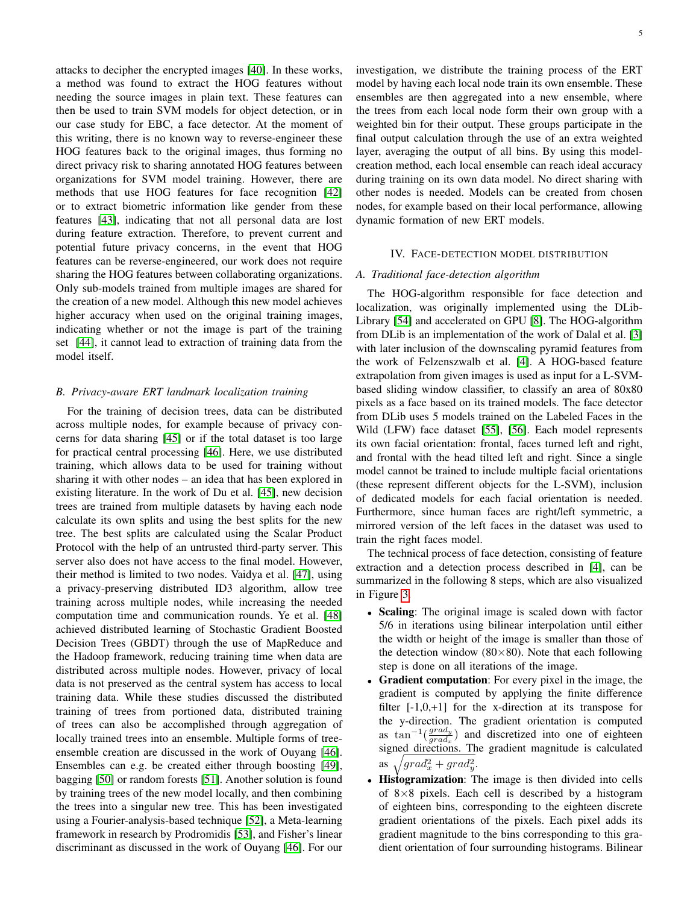attacks to decipher the encrypted images [\[40\]](#page-12-21). In these works, a method was found to extract the HOG features without needing the source images in plain text. These features can then be used to train SVM models for object detection, or in our case study for EBC, a face detector. At the moment of this writing, there is no known way to reverse-engineer these HOG features back to the original images, thus forming no direct privacy risk to sharing annotated HOG features between organizations for SVM model training. However, there are methods that use HOG features for face recognition [\[42\]](#page-12-23) or to extract biometric information like gender from these features [\[43\]](#page-12-24), indicating that not all personal data are lost during feature extraction. Therefore, to prevent current and potential future privacy concerns, in the event that HOG features can be reverse-engineered, our work does not require sharing the HOG features between collaborating organizations. Only sub-models trained from multiple images are shared for the creation of a new model. Although this new model achieves higher accuracy when used on the original training images, indicating whether or not the image is part of the training set [\[44\]](#page-12-25), it cannot lead to extraction of training data from the model itself.

## *B. Privacy-aware ERT landmark localization training*

For the training of decision trees, data can be distributed across multiple nodes, for example because of privacy concerns for data sharing [\[45\]](#page-12-26) or if the total dataset is too large for practical central processing [\[46\]](#page-12-27). Here, we use distributed training, which allows data to be used for training without sharing it with other nodes – an idea that has been explored in existing literature. In the work of Du et al. [\[45\]](#page-12-26), new decision trees are trained from multiple datasets by having each node calculate its own splits and using the best splits for the new tree. The best splits are calculated using the Scalar Product Protocol with the help of an untrusted third-party server. This server also does not have access to the final model. However, their method is limited to two nodes. Vaidya et al. [\[47\]](#page-12-28), using a privacy-preserving distributed ID3 algorithm, allow tree training across multiple nodes, while increasing the needed computation time and communication rounds. Ye et al. [\[48\]](#page-12-29) achieved distributed learning of Stochastic Gradient Boosted Decision Trees (GBDT) through the use of MapReduce and the Hadoop framework, reducing training time when data are distributed across multiple nodes. However, privacy of local data is not preserved as the central system has access to local training data. While these studies discussed the distributed training of trees from portioned data, distributed training of trees can also be accomplished through aggregation of locally trained trees into an ensemble. Multiple forms of treeensemble creation are discussed in the work of Ouyang [\[46\]](#page-12-27). Ensembles can e.g. be created either through boosting [\[49\]](#page-12-30), bagging [\[50\]](#page-12-31) or random forests [\[51\]](#page-12-32). Another solution is found by training trees of the new model locally, and then combining the trees into a singular new tree. This has been investigated using a Fourier-analysis-based technique [\[52\]](#page-12-33), a Meta-learning framework in research by Prodromidis [\[53\]](#page-12-34), and Fisher's linear discriminant as discussed in the work of Ouyang [\[46\]](#page-12-27). For our investigation, we distribute the training process of the ERT model by having each local node train its own ensemble. These ensembles are then aggregated into a new ensemble, where the trees from each local node form their own group with a weighted bin for their output. These groups participate in the final output calculation through the use of an extra weighted layer, averaging the output of all bins. By using this modelcreation method, each local ensemble can reach ideal accuracy during training on its own data model. No direct sharing with other nodes is needed. Models can be created from chosen nodes, for example based on their local performance, allowing dynamic formation of new ERT models.

## IV. FACE-DETECTION MODEL DISTRIBUTION

# <span id="page-4-0"></span>*A. Traditional face-detection algorithm*

The HOG-algorithm responsible for face detection and localization, was originally implemented using the DLib-Library [\[54\]](#page-12-35) and accelerated on GPU [\[8\]](#page-11-7). The HOG-algorithm from DLib is an implementation of the work of Dalal et al. [\[3\]](#page-11-2) with later inclusion of the downscaling pyramid features from the work of Felzenszwalb et al. [\[4\]](#page-11-3). A HOG-based feature extrapolation from given images is used as input for a L-SVMbased sliding window classifier, to classify an area of 80x80 pixels as a face based on its trained models. The face detector from DLib uses 5 models trained on the Labeled Faces in the Wild (LFW) face dataset [\[55\]](#page-12-36), [\[56\]](#page-12-37). Each model represents its own facial orientation: frontal, faces turned left and right, and frontal with the head tilted left and right. Since a single model cannot be trained to include multiple facial orientations (these represent different objects for the L-SVM), inclusion of dedicated models for each facial orientation is needed. Furthermore, since human faces are right/left symmetric, a mirrored version of the left faces in the dataset was used to train the right faces model.

The technical process of face detection, consisting of feature extraction and a detection process described in [\[4\]](#page-11-3), can be summarized in the following 8 steps, which are also visualized in Figure [3.](#page-5-0)

- Scaling: The original image is scaled down with factor 5/6 in iterations using bilinear interpolation until either the width or height of the image is smaller than those of the detection window  $(80\times80)$ . Note that each following step is done on all iterations of the image.
- Gradient computation: For every pixel in the image, the gradient is computed by applying the finite difference filter  $[-1,0,+1]$  for the x-direction at its transpose for the y-direction. The gradient orientation is computed as tan<sup>-1</sup> $\left(\frac{grad_y}{grad}\right)$  $\frac{grad_y}{grad_x}$ ) and discretized into one of eighteen signed directions. The gradient magnitude is calculated as  $\sqrt{grad_x^2 + grad_y^2}$ .
- Histogramization: The image is then divided into cells of  $8\times8$  pixels. Each cell is described by a histogram of eighteen bins, corresponding to the eighteen discrete gradient orientations of the pixels. Each pixel adds its gradient magnitude to the bins corresponding to this gradient orientation of four surrounding histograms. Bilinear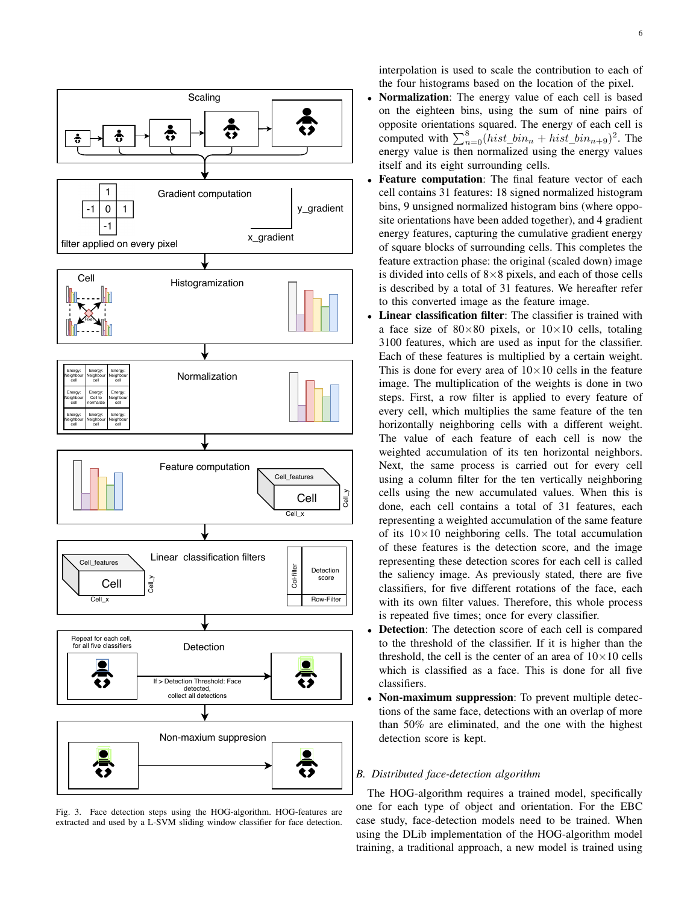

<span id="page-5-0"></span>Fig. 3. Face detection steps using the HOG-algorithm. HOG-features are extracted and used by a L-SVM sliding window classifier for face detection.

interpolation is used to scale the contribution to each of the four histograms based on the location of the pixel.

- Normalization: The energy value of each cell is based on the eighteen bins, using the sum of nine pairs of opposite orientations squared. The energy of each cell is computed with  $\sum_{n=0}^{8} (hist\_bin_n + hist\_bin_{n+9})^2$ . The energy value is then normalized using the energy values itself and its eight surrounding cells.
- Feature computation: The final feature vector of each cell contains 31 features: 18 signed normalized histogram bins, 9 unsigned normalized histogram bins (where opposite orientations have been added together), and 4 gradient energy features, capturing the cumulative gradient energy of square blocks of surrounding cells. This completes the feature extraction phase: the original (scaled down) image is divided into cells of  $8\times 8$  pixels, and each of those cells is described by a total of 31 features. We hereafter refer to this converted image as the feature image.
- Linear classification filter: The classifier is trained with a face size of  $80 \times 80$  pixels, or  $10 \times 10$  cells, totaling 3100 features, which are used as input for the classifier. Each of these features is multiplied by a certain weight. This is done for every area of  $10\times10$  cells in the feature image. The multiplication of the weights is done in two steps. First, a row filter is applied to every feature of every cell, which multiplies the same feature of the ten horizontally neighboring cells with a different weight. The value of each feature of each cell is now the weighted accumulation of its ten horizontal neighbors. Next, the same process is carried out for every cell using a column filter for the ten vertically neighboring cells using the new accumulated values. When this is done, each cell contains a total of 31 features, each representing a weighted accumulation of the same feature of its  $10\times10$  neighboring cells. The total accumulation of these features is the detection score, and the image representing these detection scores for each cell is called the saliency image. As previously stated, there are five classifiers, for five different rotations of the face, each with its own filter values. Therefore, this whole process is repeated five times; once for every classifier.
- **Detection:** The detection score of each cell is compared to the threshold of the classifier. If it is higher than the threshold, the cell is the center of an area of  $10\times10$  cells which is classified as a face. This is done for all five classifiers.
- Non-maximum suppression: To prevent multiple detections of the same face, detections with an overlap of more than 50% are eliminated, and the one with the highest detection score is kept.

## *B. Distributed face-detection algorithm*

The HOG-algorithm requires a trained model, specifically one for each type of object and orientation. For the EBC case study, face-detection models need to be trained. When using the DLib implementation of the HOG-algorithm model training, a traditional approach, a new model is trained using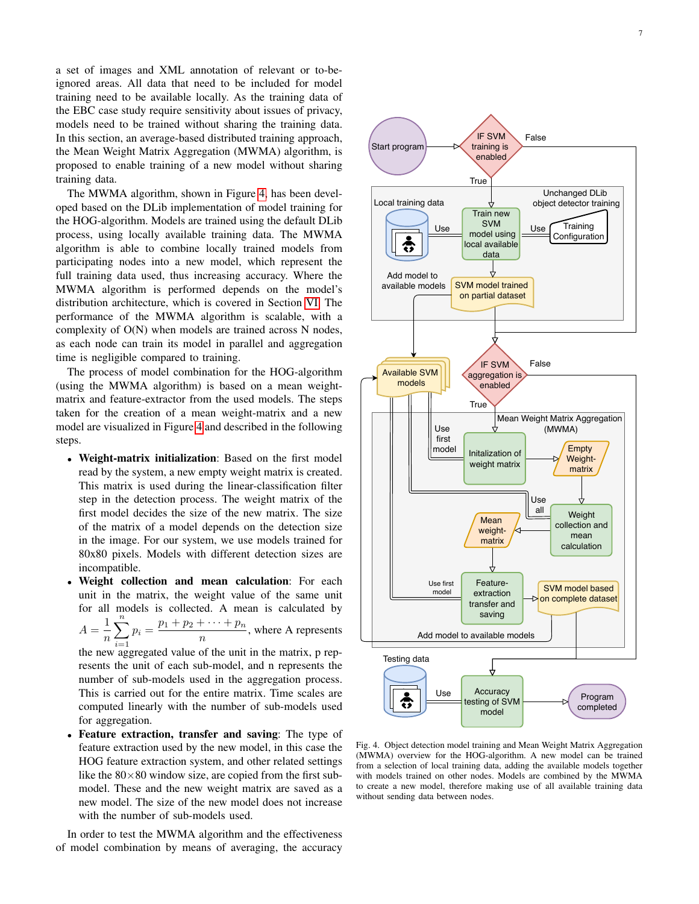a set of images and XML annotation of relevant or to-beignored areas. All data that need to be included for model training need to be available locally. As the training data of the EBC case study require sensitivity about issues of privacy, models need to be trained without sharing the training data. In this section, an average-based distributed training approach, the Mean Weight Matrix Aggregation (MWMA) algorithm, is proposed to enable training of a new model without sharing training data.

The MWMA algorithm, shown in Figure [4,](#page-6-0) has been developed based on the DLib implementation of model training for the HOG-algorithm. Models are trained using the default DLib process, using locally available training data. The MWMA algorithm is able to combine locally trained models from participating nodes into a new model, which represent the full training data used, thus increasing accuracy. Where the MWMA algorithm is performed depends on the model's distribution architecture, which is covered in Section [VI.](#page-10-0) The performance of the MWMA algorithm is scalable, with a complexity of O(N) when models are trained across N nodes, as each node can train its model in parallel and aggregation time is negligible compared to training.

The process of model combination for the HOG-algorithm (using the MWMA algorithm) is based on a mean weightmatrix and feature-extractor from the used models. The steps taken for the creation of a mean weight-matrix and a new model are visualized in Figure [4](#page-6-0) and described in the following steps.

- Weight-matrix initialization: Based on the first model read by the system, a new empty weight matrix is created. This matrix is used during the linear-classification filter step in the detection process. The weight matrix of the first model decides the size of the new matrix. The size of the matrix of a model depends on the detection size in the image. For our system, we use models trained for 80x80 pixels. Models with different detection sizes are incompatible.
- Weight collection and mean calculation: For each unit in the matrix, the weight value of the same unit for all models is collected. A mean is calculated by  $A=\frac{1}{A}$ n  $\sum_{i=1}^{n} p_i = \frac{p_1 + p_2 + \dots + p_n}{n}$ the new aggregated value of the unit in the matrix, p rep- $\frac{1}{n}$ , where A represents resents the unit of each sub-model, and n represents the number of sub-models used in the aggregation process. This is carried out for the entire matrix. Time scales are

computed linearly with the number of sub-models used

for aggregation. • Feature extraction, transfer and saving: The type of feature extraction used by the new model, in this case the HOG feature extraction system, and other related settings like the  $80\times80$  window size, are copied from the first submodel. These and the new weight matrix are saved as a new model. The size of the new model does not increase with the number of sub-models used.

In order to test the MWMA algorithm and the effectiveness of model combination by means of averaging, the accuracy



<span id="page-6-0"></span>Fig. 4. Object detection model training and Mean Weight Matrix Aggregation (MWMA) overview for the HOG-algorithm. A new model can be trained from a selection of local training data, adding the available models together with models trained on other nodes. Models are combined by the MWMA to create a new model, therefore making use of all available training data without sending data between nodes.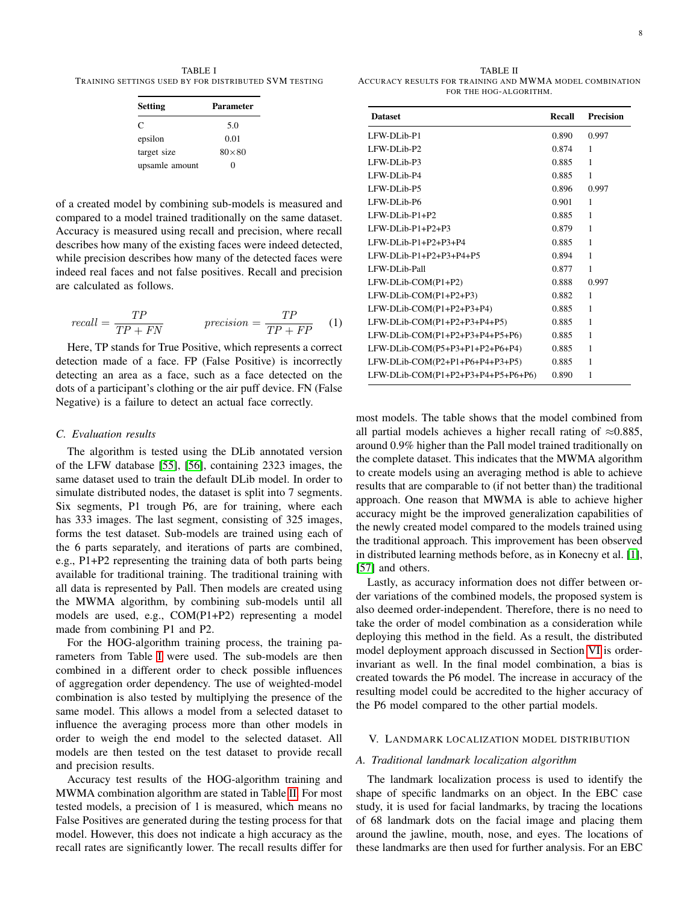<span id="page-7-1"></span>TABLE I TRAINING SETTINGS USED BY FOR DISTRIBUTED SVM TESTING

| <b>Setting</b> | <b>Parameter</b> |
|----------------|------------------|
| C              | 5.0              |
| epsilon        | 0.01             |
| target size    | $80\times80$     |
| upsamle amount | 0                |

of a created model by combining sub-models is measured and compared to a model trained traditionally on the same dataset. Accuracy is measured using recall and precision, where recall describes how many of the existing faces were indeed detected, while precision describes how many of the detected faces were indeed real faces and not false positives. Recall and precision are calculated as follows.

$$
recall = \frac{TP}{TP + FN} \qquad \text{precision} = \frac{TP}{TP + FP} \qquad (1)
$$

Here, TP stands for True Positive, which represents a correct detection made of a face. FP (False Positive) is incorrectly detecting an area as a face, such as a face detected on the dots of a participant's clothing or the air puff device. FN (False Negative) is a failure to detect an actual face correctly.

# *C. Evaluation results*

The algorithm is tested using the DLib annotated version of the LFW database [\[55\]](#page-12-36), [\[56\]](#page-12-37), containing 2323 images, the same dataset used to train the default DLib model. In order to simulate distributed nodes, the dataset is split into 7 segments. Six segments, P1 trough P6, are for training, where each has 333 images. The last segment, consisting of 325 images, forms the test dataset. Sub-models are trained using each of the 6 parts separately, and iterations of parts are combined, e.g., P1+P2 representing the training data of both parts being available for traditional training. The traditional training with all data is represented by Pall. Then models are created using the MWMA algorithm, by combining sub-models until all models are used, e.g., COM(P1+P2) representing a model made from combining P1 and P2.

For the HOG-algorithm training process, the training parameters from Table [I](#page-7-1) were used. The sub-models are then combined in a different order to check possible influences of aggregation order dependency. The use of weighted-model combination is also tested by multiplying the presence of the same model. This allows a model from a selected dataset to influence the averaging process more than other models in order to weigh the end model to the selected dataset. All models are then tested on the test dataset to provide recall and precision results.

Accuracy test results of the HOG-algorithm training and MWMA combination algorithm are stated in Table [II.](#page-7-2) For most tested models, a precision of 1 is measured, which means no False Positives are generated during the testing process for that model. However, this does not indicate a high accuracy as the recall rates are significantly lower. The recall results differ for

<span id="page-7-2"></span>TABLE II ACCURACY RESULTS FOR TRAINING AND MWMA MODEL COMBINATION FOR THE HOG-ALGORITHM.

| <b>Dataset</b>                     | Recall | <b>Precision</b> |
|------------------------------------|--------|------------------|
| LFW-DLib-P1                        | 0.890  | 0.997            |
| LFW-DLib-P2                        | 0.874  | 1                |
| LFW-DLib-P3                        | 0.885  | 1                |
| LFW-DLib-P4                        | 0.885  | 1                |
| LFW-DLib-P5                        | 0.896  | 0.997            |
| LFW-DLib-P6                        | 0.901  | 1                |
| LFW-DLib-P1+P2                     | 0.885  | 1                |
| $LFW-DL$ ib- $P1+P2+P3$            | 0.879  | 1                |
| $LFW-DL$ ib- $P1+P2+P3+P4$         | 0.885  | 1                |
| LFW-DLib-P1+P2+P3+P4+P5            | 0.894  | 1                |
| LFW-DLib-Pall                      | 0.877  | 1                |
| LFW-DLib-COM(P1+P2)                | 0.888  | 0.997            |
| LFW-DLib-COM(P1+P2+P3)             | 0.882  | 1                |
| LFW-DLib-COM(P1+P2+P3+P4)          | 0.885  | 1                |
| LFW-DLib-COM(P1+P2+P3+P4+P5)       | 0.885  | 1                |
| LFW-DLib-COM(P1+P2+P3+P4+P5+P6)    | 0.885  | 1                |
| LFW-DLib-COM(P5+P3+P1+P2+P6+P4)    | 0.885  | 1                |
| LFW-DLib-COM(P2+P1+P6+P4+P3+P5)    | 0.885  | 1                |
| LFW-DLib-COM(P1+P2+P3+P4+P5+P6+P6) | 0.890  | 1                |

most models. The table shows that the model combined from all partial models achieves a higher recall rating of  $\approx 0.885$ , around 0.9% higher than the Pall model trained traditionally on the complete dataset. This indicates that the MWMA algorithm to create models using an averaging method is able to achieve results that are comparable to (if not better than) the traditional approach. One reason that MWMA is able to achieve higher accuracy might be the improved generalization capabilities of the newly created model compared to the models trained using the traditional approach. This improvement has been observed in distributed learning methods before, as in Konecny et al. [\[1\]](#page-11-0), [\[57\]](#page-12-38) and others.

Lastly, as accuracy information does not differ between order variations of the combined models, the proposed system is also deemed order-independent. Therefore, there is no need to take the order of model combination as a consideration while deploying this method in the field. As a result, the distributed model deployment approach discussed in Section [VI](#page-10-0) is orderinvariant as well. In the final model combination, a bias is created towards the P6 model. The increase in accuracy of the resulting model could be accredited to the higher accuracy of the P6 model compared to the other partial models.

#### <span id="page-7-0"></span>V. LANDMARK LOCALIZATION MODEL DISTRIBUTION

## *A. Traditional landmark localization algorithm*

The landmark localization process is used to identify the shape of specific landmarks on an object. In the EBC case study, it is used for facial landmarks, by tracing the locations of 68 landmark dots on the facial image and placing them around the jawline, mouth, nose, and eyes. The locations of these landmarks are then used for further analysis. For an EBC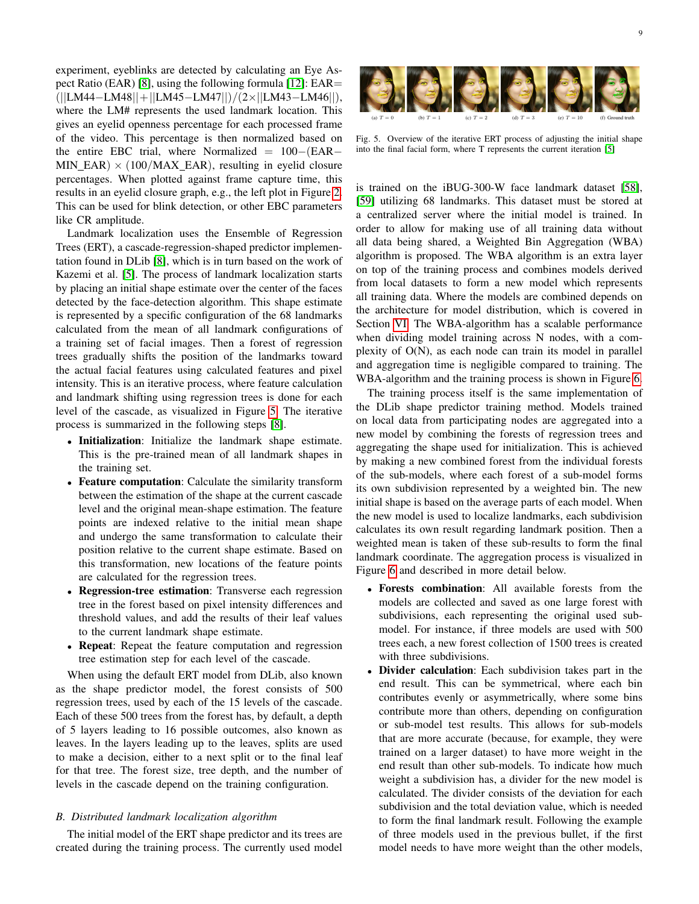experiment, eyeblinks are detected by calculating an Eye Aspect Ratio (EAR) [\[8\]](#page-11-7), using the following formula [\[12\]](#page-11-11): EAR= (||LM44−LM48||+||LM45−LM47||)/(2×||LM43−LM46||), where the LM# represents the used landmark location. This gives an eyelid openness percentage for each processed frame of the video. This percentage is then normalized based on the entire EBC trial, where Normalized = 100−(EAR− MIN EAR)  $\times$  (100/MAX EAR), resulting in eyelid closure percentages. When plotted against frame capture time, this results in an eyelid closure graph, e.g., the left plot in Figure [2.](#page-3-1) This can be used for blink detection, or other EBC parameters like CR amplitude.  $\mathcal{C}$  , at different levels of the cascade initialized with the mean shape centered at the output of a basic Viola  $\mathcal{C}$ split is then found by repeating this process  $\mathcal{L}$ and choosing the one that optimizes our objective. To contain  $\mathcal{L}$ 

Landmark localization uses the Ensemble of Regression Trees (ERT), a cascade-regression-shaped predictor implementation found in DLib [\[8\]](#page-11-7), which is in turn based on the work of Kazemi et al. [\[5\]](#page-11-4). The process of landmark localization starts by placing an initial shape estimate over the center of the faces detected by the face-detection algorithm. This shape estimate is represented by a specific configuration of the 68 landmarks calculated from the mean of all landmark configurations of a training set of facial images. Then a forest of regression trees gradually shifts the position of the landmarks toward the actual facial features using calculated features and pixel intensity. This is an iterative process, where feature calculation and landmark shifting using regression trees is done for each level of the cascade, as visualized in Figure [5.](#page-8-0) The iterative process is summarized in the following steps [\[8\]](#page-11-7).

- Initialization: Initialize the landmark shape estimate. This is the pre-trained mean of all landmark shapes in the training set.
- Feature computation: Calculate the similarity transform between the estimation of the shape at the current cascade level and the original mean-shape estimation. The feature points are indexed relative to the initial mean shape and undergo the same transformation to calculate their position relative to the current shape estimate. Based on this transformation, new locations of the feature points are calculated for the regression trees.
- Regression-tree estimation: Transverse each regression tree in the forest based on pixel intensity differences and threshold values, and add the results of their leaf values to the current landmark shape estimate.
- Repeat: Repeat the feature computation and regression tree estimation step for each level of the cascade.

When using the default ERT model from DLib, also known as the shape predictor model, the forest consists of 500 regression trees, used by each of the 15 levels of the cascade. Each of these 500 trees from the forest has, by default, a depth of 5 layers leading to 16 possible outcomes, also known as leaves. In the layers leading up to the leaves, splits are used to make a decision, either to a next split or to the final leaf for that tree. The forest size, tree depth, and the number of levels in the cascade depend on the training configuration.

# *B. Distributed landmark localization algorithm*

The initial model of the ERT shape predictor and its trees are created during the training process. The currently used model



<span id="page-8-0"></span>1 Fig. 5. Overview of the iterative ERT process of adjusting the initial shape into the final facial form, where T represents the current iteration [\[5\]](#page-11-4) of the cascade which shows that *ERT* can reduce the error

 $\int_{0}^{S}$  is trained on the iBUG-300- $\int_{S}$  [\[59\]](#page-12-40) utilizing 68 landmarks. This dataset must be stored at a centralized server where the initial model is trained. In order to allow for making use of all training data without all data being shared, a Weighted Bin Aggregation (WBA) algorithm is proposed. The WBA algorithm is an extra layer  $\frac{1}{2}$  on top of the training process and combines models derived  $\int_{\rm c}^{\rm s}$  from local datasets to form a new model which represents all training data. Where the m  $\epsilon$  the architecture for model distribution, which is covered in  $\int_{f}^{S}$  Section [VI.](#page-10-0) The WBA-algorithm has a scalable performance when dividing model training across N nodes, with a complexity of  $O(N)$ , as each node can train its model in parallel  $\frac{1}{1}$  and aggregation time is negligible compared to training. The WBA-algorithm and the training process is shown in Figure [6.](#page-9-0) is trained on the iBUG-300-W face landmark dataset [\[58\]](#page-12-39), on top of the training process and combines models derived all training data. Where the models are combined depends on

Error .111 .091 .069 .062 .059 .055 .049 The training process itself is the same implementation of the DLib shape predictor training method. Models trained on local data from participating nodes are aggregated into a new model by combining the forests of regression trees and aggregating the shape used for initialization. This is achieved by making a new combined forest from the individual forests of the sub-models, where each forest of a sub-model forms its own subdivision represented by a weighted bin. The new initial shape is based on the average parts of each model. When the new model is used to localize landmarks, each subdivision calculates its own result regarding landmark position. Then a weighted mean is taken of these sub-results to form the final landmark coordinate. The aggregation process is visualized in Figure [6](#page-9-0) and described in more detail below.

- Forests combination: All available forests from the models are collected and saved as one large forest with subdivisions, each representing the original used submodel. For instance, if three models are used with 500 trees each, a new forest collection of 1500 trees is created with three subdivisions.
- Divider calculation: Each subdivision takes part in the end result. This can be symmetrical, where each bin contributes evenly or asymmetrically, where some bins contribute more than others, depending on configuration or sub-model test results. This allows for sub-models that are more accurate (because, for example, they were trained on a larger dataset) to have more weight in the end result than other sub-models. To indicate how much weight a subdivision has, a divider for the new model is calculated. The divider consists of the deviation for each subdivision and the total deviation value, which is needed to form the final landmark result. Following the example of three models used in the previous bullet, if the first model needs to have more weight than the other models,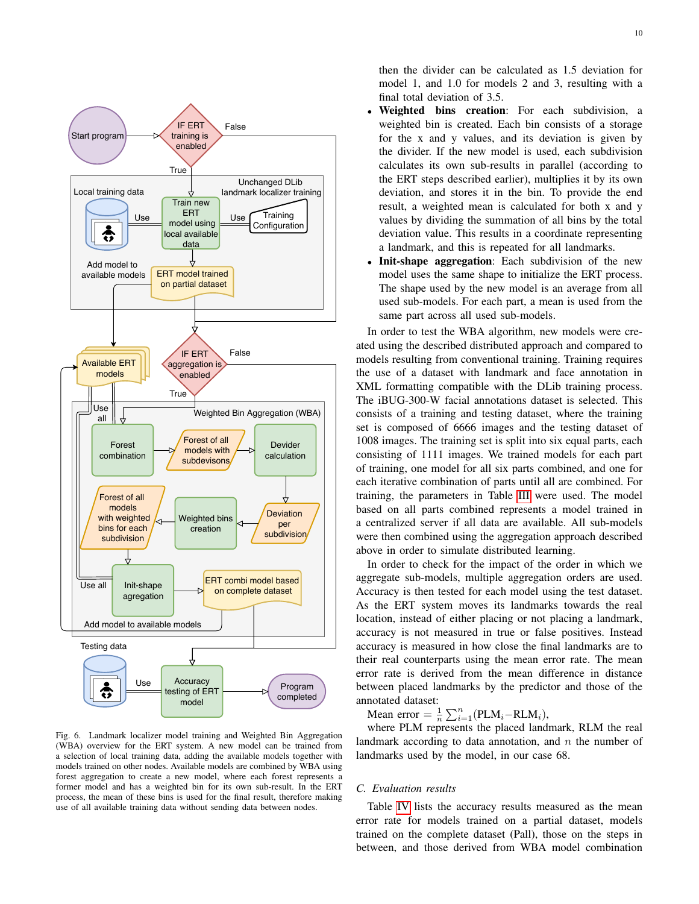

<span id="page-9-0"></span>Fig. 6. Landmark localizer model training and Weighted Bin Aggregation (WBA) overview for the ERT system. A new model can be trained from a selection of local training data, adding the available models together with models trained on other nodes. Available models are combined by WBA using forest aggregation to create a new model, where each forest represents a former model and has a weighted bin for its own sub-result. In the ERT process, the mean of these bins is used for the final result, therefore making use of all available training data without sending data between nodes.

then the divider can be calculated as 1.5 deviation for model 1, and 1.0 for models 2 and 3, resulting with a final total deviation of 3.5.

- Weighted bins creation: For each subdivision, a weighted bin is created. Each bin consists of a storage for the x and y values, and its deviation is given by the divider. If the new model is used, each subdivision calculates its own sub-results in parallel (according to the ERT steps described earlier), multiplies it by its own deviation, and stores it in the bin. To provide the end result, a weighted mean is calculated for both x and y values by dividing the summation of all bins by the total deviation value. This results in a coordinate representing a landmark, and this is repeated for all landmarks.
- **Init-shape aggregation:** Each subdivision of the new model uses the same shape to initialize the ERT process. The shape used by the new model is an average from all used sub-models. For each part, a mean is used from the same part across all used sub-models.

In order to test the WBA algorithm, new models were created using the described distributed approach and compared to models resulting from conventional training. Training requires the use of a dataset with landmark and face annotation in XML formatting compatible with the DLib training process. The iBUG-300-W facial annotations dataset is selected. This consists of a training and testing dataset, where the training set is composed of 6666 images and the testing dataset of 1008 images. The training set is split into six equal parts, each consisting of 1111 images. We trained models for each part of training, one model for all six parts combined, and one for each iterative combination of parts until all are combined. For training, the parameters in Table [III](#page-10-1) were used. The model based on all parts combined represents a model trained in a centralized server if all data are available. All sub-models were then combined using the aggregation approach described above in order to simulate distributed learning.

In order to check for the impact of the order in which we aggregate sub-models, multiple aggregation orders are used. Accuracy is then tested for each model using the test dataset. As the ERT system moves its landmarks towards the real location, instead of either placing or not placing a landmark, accuracy is not measured in true or false positives. Instead accuracy is measured in how close the final landmarks are to their real counterparts using the mean error rate. The mean error rate is derived from the mean difference in distance between placed landmarks by the predictor and those of the annotated dataset:

Mean error =  $\frac{1}{n} \sum_{i=1}^{n} (PLM_i - RLM_i)$ ,

where PLM represents the placed landmark, RLM the real landmark according to data annotation, and  $n$  the number of landmarks used by the model, in our case 68.

## *C. Evaluation results*

Table [IV](#page-10-2) lists the accuracy results measured as the mean error rate for models trained on a partial dataset, models trained on the complete dataset (Pall), those on the steps in between, and those derived from WBA model combination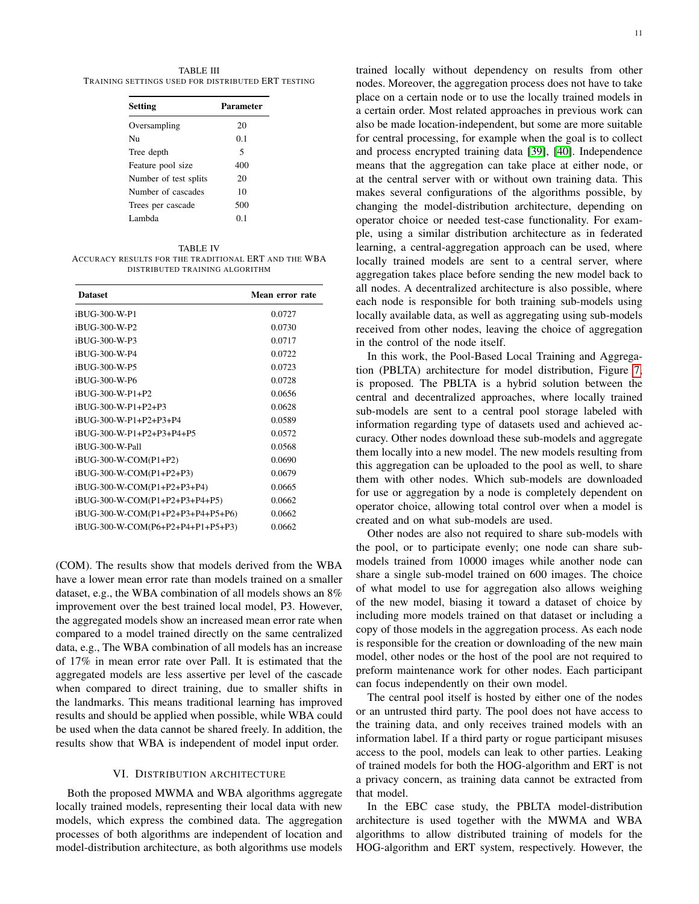<span id="page-10-1"></span>TABLE III TRAINING SETTINGS USED FOR DISTRIBUTED ERT TESTING

| Parameter |
|-----------|
| 20        |
| 0.1       |
| 5         |
| 400       |
| 20        |
| 10        |
| 500       |
| በ 1       |
|           |

#### TABLE IV

<span id="page-10-2"></span>ACCURACY RESULTS FOR THE TRADITIONAL ERT AND THE WBA DISTRIBUTED TRAINING ALGORITHM

| <b>Dataset</b>                    | Mean error rate |
|-----------------------------------|-----------------|
| iBUG-300-W-P1                     | 0.0727          |
| iBUG-300-W-P2                     | 0.0730          |
| iBUG-300-W-P3                     | 0.0717          |
| iBUG-300-W-P4                     | 0.0722          |
| iBUG-300-W-P5                     | 0.0723          |
| iBUG-300-W-P6                     | 0.0728          |
| iBUG-300-W-P1+P2                  | 0.0656          |
| iBUG-300-W-P1+P2+P3               | 0.0628          |
| iBUG-300-W-P1+P2+P3+P4            | 0.0589          |
| iBUG-300-W-P1+P2+P3+P4+P5         | 0.0572          |
| iBUG-300-W-Pall                   | 0.0568          |
| iBUG-300-W-COM(P1+P2)             | 0.0690          |
| iBUG-300-W-COM(P1+P2+P3)          | 0.0679          |
| iBUG-300-W-COM(P1+P2+P3+P4)       | 0.0665          |
| iBUG-300-W-COM(P1+P2+P3+P4+P5)    | 0.0662          |
| iBUG-300-W-COM(P1+P2+P3+P4+P5+P6) | 0.0662          |
| iBUG-300-W-COM(P6+P2+P4+P1+P5+P3) | 0.0662          |

(COM). The results show that models derived from the WBA have a lower mean error rate than models trained on a smaller dataset, e.g., the WBA combination of all models shows an 8% improvement over the best trained local model, P3. However, the aggregated models show an increased mean error rate when compared to a model trained directly on the same centralized data, e.g., The WBA combination of all models has an increase of 17% in mean error rate over Pall. It is estimated that the aggregated models are less assertive per level of the cascade when compared to direct training, due to smaller shifts in the landmarks. This means traditional learning has improved results and should be applied when possible, while WBA could be used when the data cannot be shared freely. In addition, the results show that WBA is independent of model input order.

#### VI. DISTRIBUTION ARCHITECTURE

<span id="page-10-0"></span>Both the proposed MWMA and WBA algorithms aggregate locally trained models, representing their local data with new models, which express the combined data. The aggregation processes of both algorithms are independent of location and model-distribution architecture, as both algorithms use models trained locally without dependency on results from other nodes. Moreover, the aggregation process does not have to take place on a certain node or to use the locally trained models in a certain order. Most related approaches in previous work can also be made location-independent, but some are more suitable for central processing, for example when the goal is to collect and process encrypted training data [\[39\]](#page-12-20), [\[40\]](#page-12-21). Independence means that the aggregation can take place at either node, or at the central server with or without own training data. This makes several configurations of the algorithms possible, by changing the model-distribution architecture, depending on operator choice or needed test-case functionality. For example, using a similar distribution architecture as in federated learning, a central-aggregation approach can be used, where locally trained models are sent to a central server, where aggregation takes place before sending the new model back to all nodes. A decentralized architecture is also possible, where each node is responsible for both training sub-models using locally available data, as well as aggregating using sub-models received from other nodes, leaving the choice of aggregation in the control of the node itself.

In this work, the Pool-Based Local Training and Aggregation (PBLTA) architecture for model distribution, Figure [7,](#page-11-18) is proposed. The PBLTA is a hybrid solution between the central and decentralized approaches, where locally trained sub-models are sent to a central pool storage labeled with information regarding type of datasets used and achieved accuracy. Other nodes download these sub-models and aggregate them locally into a new model. The new models resulting from this aggregation can be uploaded to the pool as well, to share them with other nodes. Which sub-models are downloaded for use or aggregation by a node is completely dependent on operator choice, allowing total control over when a model is created and on what sub-models are used.

Other nodes are also not required to share sub-models with the pool, or to participate evenly; one node can share submodels trained from 10000 images while another node can share a single sub-model trained on 600 images. The choice of what model to use for aggregation also allows weighing of the new model, biasing it toward a dataset of choice by including more models trained on that dataset or including a copy of those models in the aggregation process. As each node is responsible for the creation or downloading of the new main model, other nodes or the host of the pool are not required to preform maintenance work for other nodes. Each participant can focus independently on their own model.

The central pool itself is hosted by either one of the nodes or an untrusted third party. The pool does not have access to the training data, and only receives trained models with an information label. If a third party or rogue participant misuses access to the pool, models can leak to other parties. Leaking of trained models for both the HOG-algorithm and ERT is not a privacy concern, as training data cannot be extracted from that model.

In the EBC case study, the PBLTA model-distribution architecture is used together with the MWMA and WBA algorithms to allow distributed training of models for the HOG-algorithm and ERT system, respectively. However, the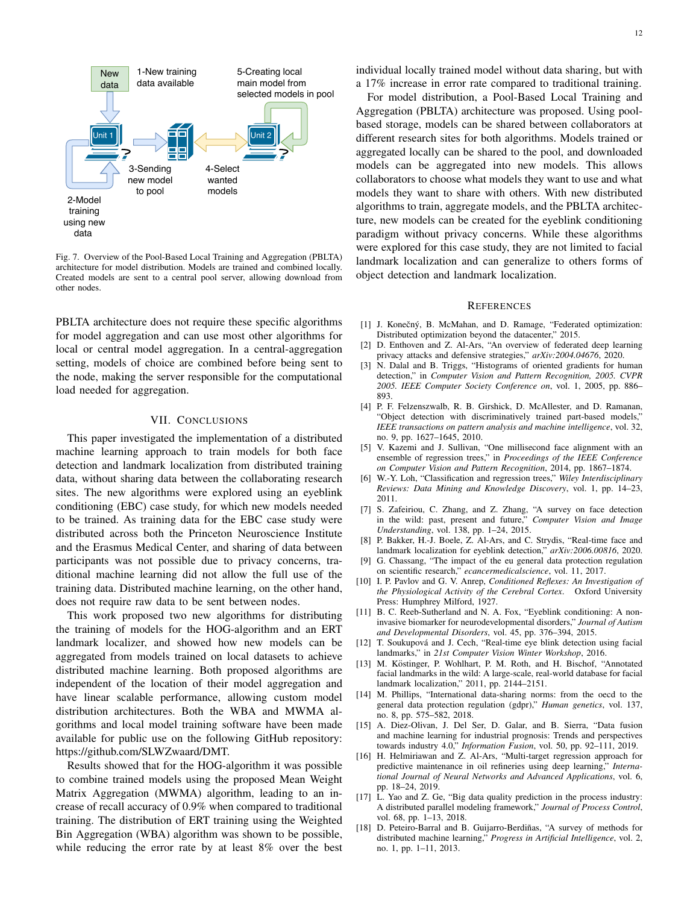

<span id="page-11-18"></span>Fig. 7. Overview of the Pool-Based Local Training and Aggregation (PBLTA) architecture for model distribution. Models are trained and combined locally. Created models are sent to a central pool server, allowing download from other nodes.

PBLTA architecture does not require these specific algorithms for model aggregation and can use most other algorithms for local or central model aggregation. In a central-aggregation setting, models of choice are combined before being sent to the node, making the server responsible for the computational load needed for aggregation.

# VII. CONCLUSIONS

This paper investigated the implementation of a distributed machine learning approach to train models for both face detection and landmark localization from distributed training data, without sharing data between the collaborating research sites. The new algorithms were explored using an eyeblink conditioning (EBC) case study, for which new models needed to be trained. As training data for the EBC case study were distributed across both the Princeton Neuroscience Institute and the Erasmus Medical Center, and sharing of data between participants was not possible due to privacy concerns, traditional machine learning did not allow the full use of the training data. Distributed machine learning, on the other hand, does not require raw data to be sent between nodes.

This work proposed two new algorithms for distributing the training of models for the HOG-algorithm and an ERT landmark localizer, and showed how new models can be aggregated from models trained on local datasets to achieve distributed machine learning. Both proposed algorithms are independent of the location of their model aggregation and have linear scalable performance, allowing custom model distribution architectures. Both the WBA and MWMA algorithms and local model training software have been made available for public use on the following GitHub repository: https://github.com/SLWZwaard/DMT.

Results showed that for the HOG-algorithm it was possible to combine trained models using the proposed Mean Weight Matrix Aggregation (MWMA) algorithm, leading to an increase of recall accuracy of 0.9% when compared to traditional training. The distribution of ERT training using the Weighted Bin Aggregation (WBA) algorithm was shown to be possible, while reducing the error rate by at least 8% over the best individual locally trained model without data sharing, but with a 17% increase in error rate compared to traditional training.

For model distribution, a Pool-Based Local Training and Aggregation (PBLTA) architecture was proposed. Using poolbased storage, models can be shared between collaborators at different research sites for both algorithms. Models trained or aggregated locally can be shared to the pool, and downloaded models can be aggregated into new models. This allows collaborators to choose what models they want to use and what models they want to share with others. With new distributed algorithms to train, aggregate models, and the PBLTA architecture, new models can be created for the eyeblink conditioning paradigm without privacy concerns. While these algorithms were explored for this case study, they are not limited to facial landmark localization and can generalize to others forms of object detection and landmark localization.

# **REFERENCES**

- <span id="page-11-0"></span>[1] J. Konečný, B. McMahan, and D. Ramage, "Federated optimization: Distributed optimization beyond the datacenter," 2015.
- <span id="page-11-1"></span>[2] D. Enthoven and Z. Al-Ars, "An overview of federated deep learning privacy attacks and defensive strategies," *arXiv:2004.04676*, 2020.
- <span id="page-11-2"></span>[3] N. Dalal and B. Triggs, "Histograms of oriented gradients for human detection," in *Computer Vision and Pattern Recognition, 2005. CVPR 2005. IEEE Computer Society Conference on*, vol. 1, 2005, pp. 886– 893.
- <span id="page-11-3"></span>[4] P. F. Felzenszwalb, R. B. Girshick, D. McAllester, and D. Ramanan, "Object detection with discriminatively trained part-based models," *IEEE transactions on pattern analysis and machine intelligence*, vol. 32, no. 9, pp. 1627–1645, 2010.
- <span id="page-11-4"></span>[5] V. Kazemi and J. Sullivan, "One millisecond face alignment with an ensemble of regression trees," in *Proceedings of the IEEE Conference on Computer Vision and Pattern Recognition*, 2014, pp. 1867–1874.
- <span id="page-11-5"></span>[6] W.-Y. Loh, "Classification and regression trees," *Wiley Interdisciplinary Reviews: Data Mining and Knowledge Discovery*, vol. 1, pp. 14–23, 2011.
- <span id="page-11-6"></span>[7] S. Zafeiriou, C. Zhang, and Z. Zhang, "A survey on face detection in the wild: past, present and future," *Computer Vision and Image Understanding*, vol. 138, pp. 1–24, 2015.
- <span id="page-11-7"></span>[8] P. Bakker, H.-J. Boele, Z. Al-Ars, and C. Strydis, "Real-time face and landmark localization for eyeblink detection," *arXiv:2006.00816*, 2020.
- <span id="page-11-8"></span>[9] G. Chassang, "The impact of the eu general data protection regulation on scientific research," *ecancermedicalscience*, vol. 11, 2017.
- <span id="page-11-9"></span>[10] I. P. Pavlov and G. V. Anrep, *Conditioned Reflexes: An Investigation of the Physiological Activity of the Cerebral Cortex*. Oxford University Press: Humphrey Milford, 1927.
- <span id="page-11-10"></span>[11] B. C. Reeb-Sutherland and N. A. Fox, "Eyeblink conditioning: A noninvasive biomarker for neurodevelopmental disorders," *Journal of Autism and Developmental Disorders*, vol. 45, pp. 376–394, 2015.
- <span id="page-11-11"></span>[12] T. Soukupová and J. Cech, "Real-time eye blink detection using facial landmarks," in *21st Computer Vision Winter Workshop*, 2016.
- <span id="page-11-12"></span>[13] M. Köstinger, P. Wohlhart, P. M. Roth, and H. Bischof, "Annotated facial landmarks in the wild: A large-scale, real-world database for facial landmark localization," 2011, pp. 2144–2151.
- <span id="page-11-13"></span>[14] M. Phillips, "International data-sharing norms: from the oecd to the general data protection regulation (gdpr)," *Human genetics*, vol. 137, no. 8, pp. 575–582, 2018.
- <span id="page-11-14"></span>[15] A. Diez-Olivan, J. Del Ser, D. Galar, and B. Sierra, "Data fusion and machine learning for industrial prognosis: Trends and perspectives towards industry 4.0," *Information Fusion*, vol. 50, pp. 92–111, 2019.
- <span id="page-11-15"></span>[16] H. Helmiriawan and Z. Al-Ars, "Multi-target regression approach for predictive maintenance in oil refineries using deep learning," *International Journal of Neural Networks and Advanced Applications*, vol. 6, pp. 18–24, 2019.
- <span id="page-11-16"></span>[17] L. Yao and Z. Ge, "Big data quality prediction in the process industry: A distributed parallel modeling framework," *Journal of Process Control*, vol. 68, pp. 1–13, 2018.
- <span id="page-11-17"></span>[18] D. Peteiro-Barral and B. Guijarro-Berdiñas, "A survey of methods for distributed machine learning," *Progress in Artificial Intelligence*, vol. 2, no. 1, pp. 1–11, 2013.